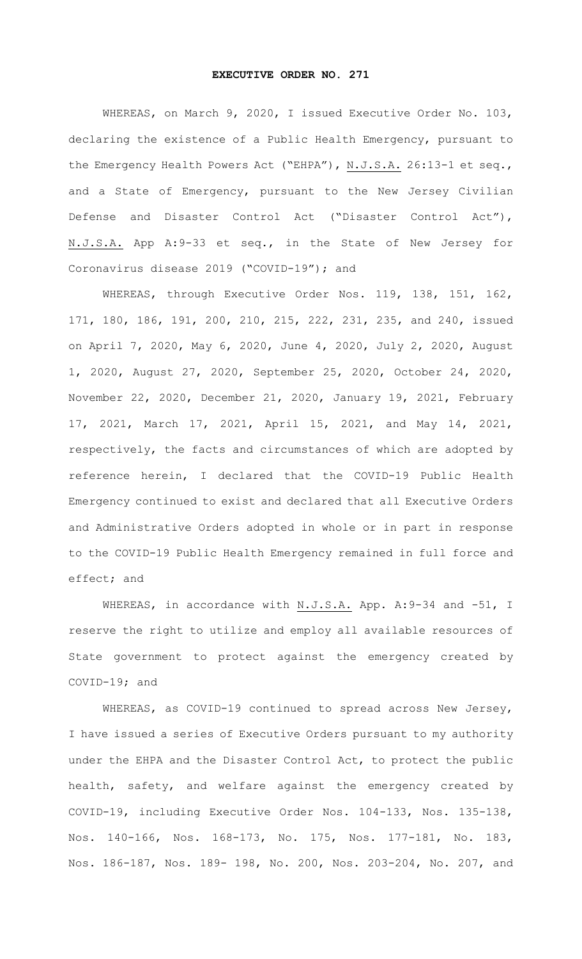## **EXECUTIVE ORDER NO. 271**

 WHEREAS, on March 9, 2020, I issued Executive Order No. 103, declaring the existence of a Public Health Emergency, pursuant to the Emergency Health Powers Act ("EHPA"), N.J.S.A. 26:13-1 et seq., and a State of Emergency, pursuant to the New Jersey Civilian Defense and Disaster Control Act ("Disaster Control Act"), N.J.S.A. App A:9-33 et seq., in the State of New Jersey for Coronavirus disease 2019 ("COVID-19"); and

 WHEREAS, through Executive Order Nos. 119, 138, 151, 162, 171, 180, 186, 191, 200, 210, 215, 222, 231, 235, and 240, issued on April 7, 2020, May 6, 2020, June 4, 2020, July 2, 2020, August 1, 2020, August 27, 2020, September 25, 2020, October 24, 2020, November 22, 2020, December 21, 2020, January 19, 2021, February 17, 2021, March 17, 2021, April 15, 2021, and May 14, 2021, respectively, the facts and circumstances of which are adopted by reference herein, I declared that the COVID-19 Public Health Emergency continued to exist and declared that all Executive Orders and Administrative Orders adopted in whole or in part in response to the COVID-19 Public Health Emergency remained in full force and effect; and

WHEREAS, in accordance with N.J.S.A. App. A: 9-34 and -51, I reserve the right to utilize and employ all available resources of State government to protect against the emergency created by COVID-19; and

 WHEREAS, as COVID-19 continued to spread across New Jersey, I have issued a series of Executive Orders pursuant to my authority under the EHPA and the Disaster Control Act, to protect the public health, safety, and welfare against the emergency created by COVID-19, including Executive Order Nos. 104-133, Nos. 135-138, Nos. 140-166, Nos. 168-173, No. 175, Nos. 177-181, No. 183, Nos. 186-187, Nos. 189- 198, No. 200, Nos. 203-204, No. 207, and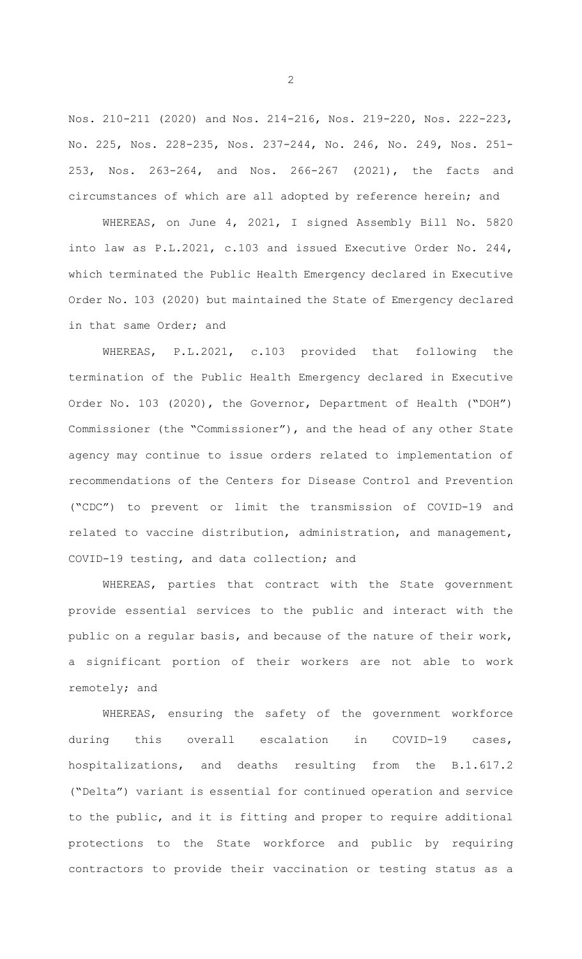Nos. 210-211 (2020) and Nos. 214-216, Nos. 219-220, Nos. 222-223, No. 225, Nos. 228-235, Nos. 237-244, No. 246, No. 249, Nos. 251- 253, Nos. 263-264, and Nos. 266-267 (2021), the facts and circumstances of which are all adopted by reference herein; and

 WHEREAS, on June 4, 2021, I signed Assembly Bill No. 5820 into law as P.L.2021, c.103 and issued Executive Order No. 244, which terminated the Public Health Emergency declared in Executive Order No. 103 (2020) but maintained the State of Emergency declared in that same Order; and

 WHEREAS, P.L.2021, c.103 provided that following the termination of the Public Health Emergency declared in Executive Order No. 103 (2020), the Governor, Department of Health ("DOH") Commissioner (the "Commissioner"), and the head of any other State agency may continue to issue orders related to implementation of recommendations of the Centers for Disease Control and Prevention ("CDC") to prevent or limit the transmission of COVID-19 and related to vaccine distribution, administration, and management, COVID-19 testing, and data collection; and

 WHEREAS, parties that contract with the State government provide essential services to the public and interact with the public on a regular basis, and because of the nature of their work, a significant portion of their workers are not able to work remotely; and

 WHEREAS, ensuring the safety of the government workforce during this overall escalation in COVID-19 cases, hospitalizations, and deaths resulting from the B.1.617.2 ("Delta") variant is essential for continued operation and service to the public, and it is fitting and proper to require additional protections to the State workforce and public by requiring contractors to provide their vaccination or testing status as a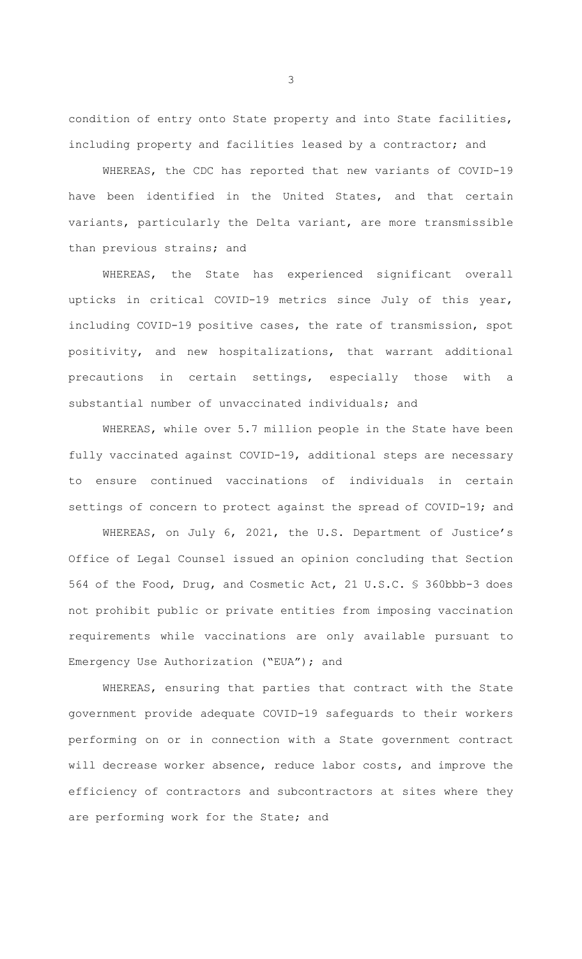condition of entry onto State property and into State facilities, including property and facilities leased by a contractor; and

 WHEREAS, the CDC has reported that new variants of COVID-19 have been identified in the United States, and that certain variants, particularly the Delta variant, are more transmissible than previous strains; and

 WHEREAS, the State has experienced significant overall upticks in critical COVID-19 metrics since July of this year, including COVID-19 positive cases, the rate of transmission, spot positivity, and new hospitalizations, that warrant additional precautions in certain settings, especially those with a substantial number of unvaccinated individuals; and

 WHEREAS, while over 5.7 million people in the State have been fully vaccinated against COVID-19, additional steps are necessary to ensure continued vaccinations of individuals in certain settings of concern to protect against the spread of COVID-19; and

 WHEREAS, on July 6, 2021, the U.S. Department of Justice's Office of Legal Counsel issued an opinion concluding that Section 564 of the Food, Drug, and Cosmetic Act, 21 U.S.C. § 360bbb-3 does not prohibit public or private entities from imposing vaccination requirements while vaccinations are only available pursuant to Emergency Use Authorization ("EUA"); and

 WHEREAS, ensuring that parties that contract with the State government provide adequate COVID-19 safeguards to their workers performing on or in connection with a State government contract will decrease worker absence, reduce labor costs, and improve the efficiency of contractors and subcontractors at sites where they are performing work for the State; and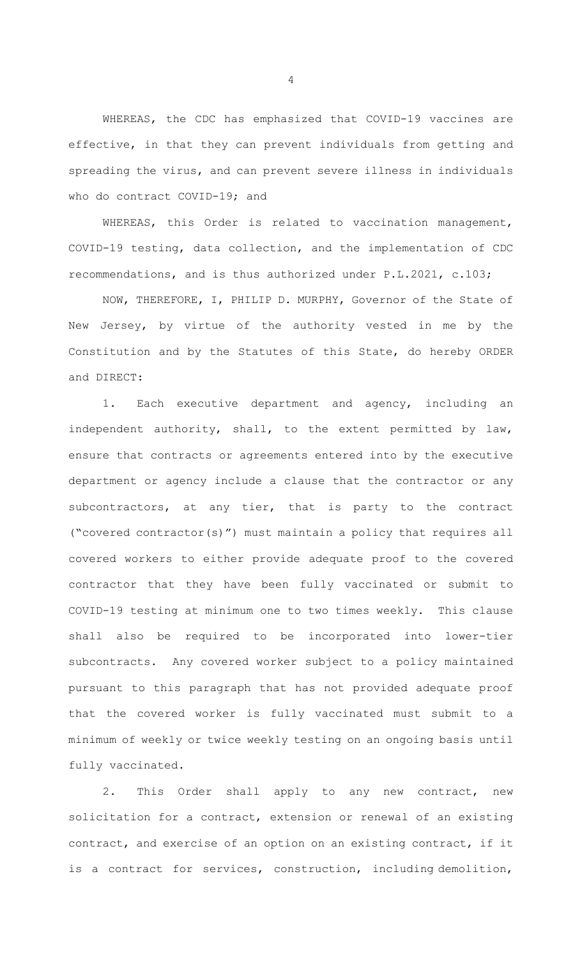WHEREAS, the CDC has emphasized that COVID-19 vaccines are effective, in that they can prevent individuals from getting and spreading the virus, and can prevent severe illness in individuals who do contract COVID-19; and

 WHEREAS, this Order is related to vaccination management, COVID-19 testing, data collection, and the implementation of CDC recommendations, and is thus authorized under P.L.2021, c.103;

 NOW, THEREFORE, I, PHILIP D. MURPHY, Governor of the State of New Jersey, by virtue of the authority vested in me by the Constitution and by the Statutes of this State, do hereby ORDER and DIRECT:

 1. Each executive department and agency, including an independent authority, shall, to the extent permitted by law, ensure that contracts or agreements entered into by the executive department or agency include a clause that the contractor or any subcontractors, at any tier, that is party to the contract ("covered contractor(s)") must maintain a policy that requires all covered workers to either provide adequate proof to the covered contractor that they have been fully vaccinated or submit to COVID-19 testing at minimum one to two times weekly. This clause shall also be required to be incorporated into lower-tier subcontracts. Any covered worker subject to a policy maintained pursuant to this paragraph that has not provided adequate proof that the covered worker is fully vaccinated must submit to a minimum of weekly or twice weekly testing on an ongoing basis until fully vaccinated.

 2. This Order shall apply to any new contract, new solicitation for a contract, extension or renewal of an existing contract, and exercise of an option on an existing contract, if it is a contract for services, construction, including demolition,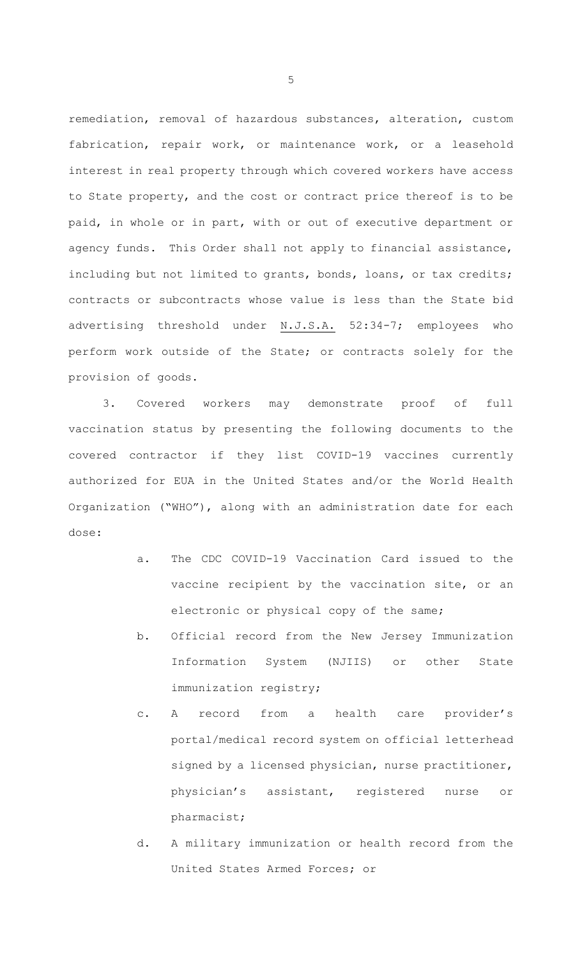remediation, removal of hazardous substances, alteration, custom fabrication, repair work, or maintenance work, or a leasehold interest in real property through which covered workers have access to State property, and the cost or contract price thereof is to be paid, in whole or in part, with or out of executive department or agency funds. This Order shall not apply to financial assistance, including but not limited to grants, bonds, loans, or tax credits; contracts or subcontracts whose value is less than the State bid advertising threshold under N.J.S.A. 52:34-7; employees who perform work outside of the State; or contracts solely for the provision of goods.

 3. Covered workers may demonstrate proof of full vaccination status by presenting the following documents to the covered contractor if they list COVID-19 vaccines currently authorized for EUA in the United States and/or the World Health Organization ("WHO"), along with an administration date for each dose:

- a. The CDC COVID-19 Vaccination Card issued to the vaccine recipient by the vaccination site, or an electronic or physical copy of the same;
- b. Official record from the New Jersey Immunization Information System (NJIIS) or other State immunization registry;
- c. A record from a health care provider's portal/medical record system on official letterhead signed by a licensed physician, nurse practitioner, physician's assistant, registered nurse or pharmacist;
- d. A military immunization or health record from the United States Armed Forces; or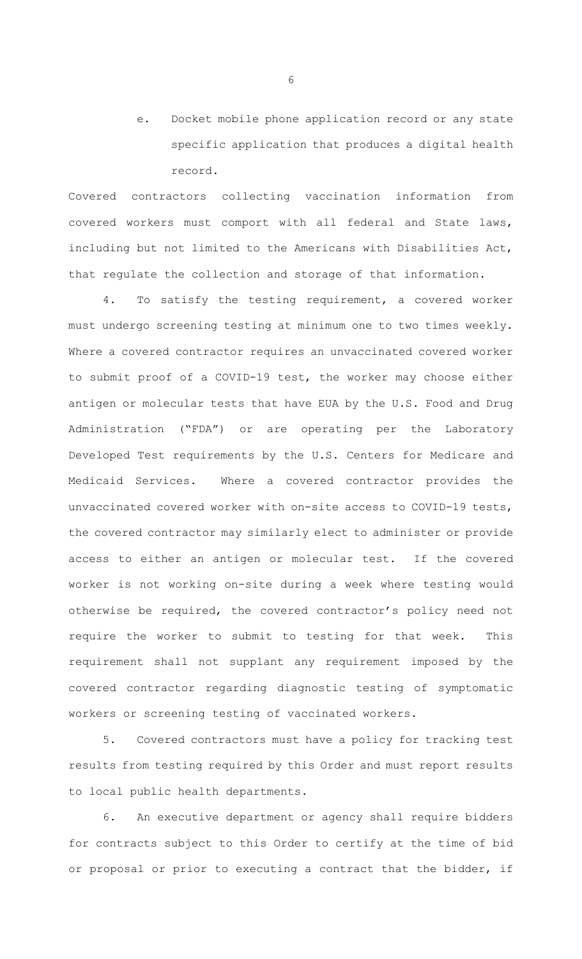e. Docket mobile phone application record or any state specific application that produces a digital health record.

Covered contractors collecting vaccination information from covered workers must comport with all federal and State laws, including but not limited to the Americans with Disabilities Act, that regulate the collection and storage of that information.

 4. To satisfy the testing requirement, a covered worker must undergo screening testing at minimum one to two times weekly. Where a covered contractor requires an unvaccinated covered worker to submit proof of a COVID-19 test, the worker may choose either antigen or molecular tests that have EUA by the U.S. Food and Drug Administration ("FDA") or are operating per the Laboratory Developed Test requirements by the U.S. Centers for Medicare and Medicaid Services. Where a covered contractor provides the unvaccinated covered worker with on-site access to COVID-19 tests, the covered contractor may similarly elect to administer or provide access to either an antigen or molecular test. If the covered worker is not working on-site during a week where testing would otherwise be required, the covered contractor's policy need not require the worker to submit to testing for that week. This requirement shall not supplant any requirement imposed by the covered contractor regarding diagnostic testing of symptomatic workers or screening testing of vaccinated workers.

 5. Covered contractors must have a policy for tracking test results from testing required by this Order and must report results to local public health departments.

 6. An executive department or agency shall require bidders for contracts subject to this Order to certify at the time of bid or proposal or prior to executing a contract that the bidder, if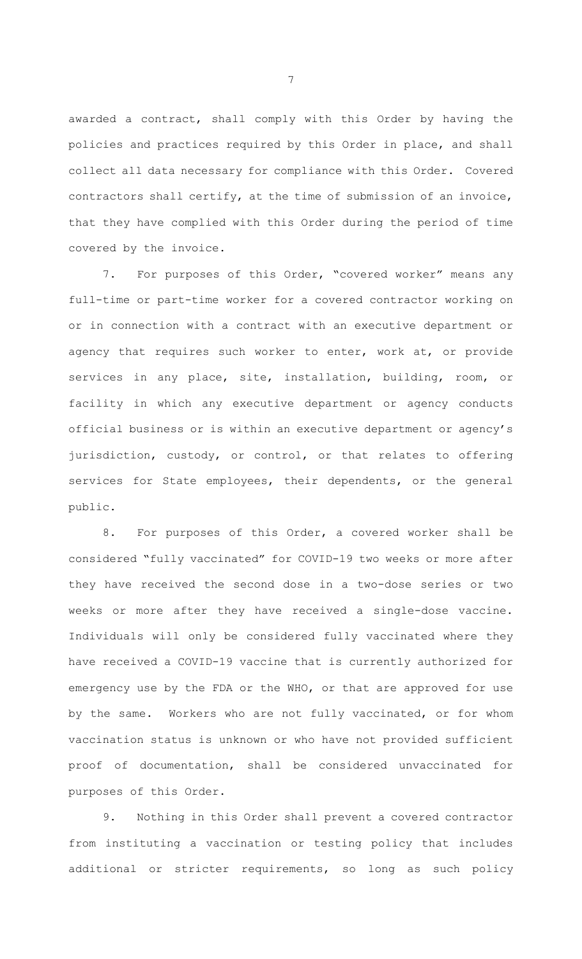awarded a contract, shall comply with this Order by having the policies and practices required by this Order in place, and shall collect all data necessary for compliance with this Order. Covered contractors shall certify, at the time of submission of an invoice, that they have complied with this Order during the period of time covered by the invoice.

 7. For purposes of this Order, "covered worker" means any full-time or part-time worker for a covered contractor working on or in connection with a contract with an executive department or agency that requires such worker to enter, work at, or provide services in any place, site, installation, building, room, or facility in which any executive department or agency conducts official business or is within an executive department or agency's jurisdiction, custody, or control, or that relates to offering services for State employees, their dependents, or the general public.

 8. For purposes of this Order, a covered worker shall be considered "fully vaccinated" for COVID-19 two weeks or more after they have received the second dose in a two-dose series or two weeks or more after they have received a single-dose vaccine. Individuals will only be considered fully vaccinated where they have received a COVID-19 vaccine that is currently authorized for emergency use by the FDA or the WHO, or that are approved for use by the same. Workers who are not fully vaccinated, or for whom vaccination status is unknown or who have not provided sufficient proof of documentation, shall be considered unvaccinated for purposes of this Order.

 9. Nothing in this Order shall prevent a covered contractor from instituting a vaccination or testing policy that includes additional or stricter requirements, so long as such policy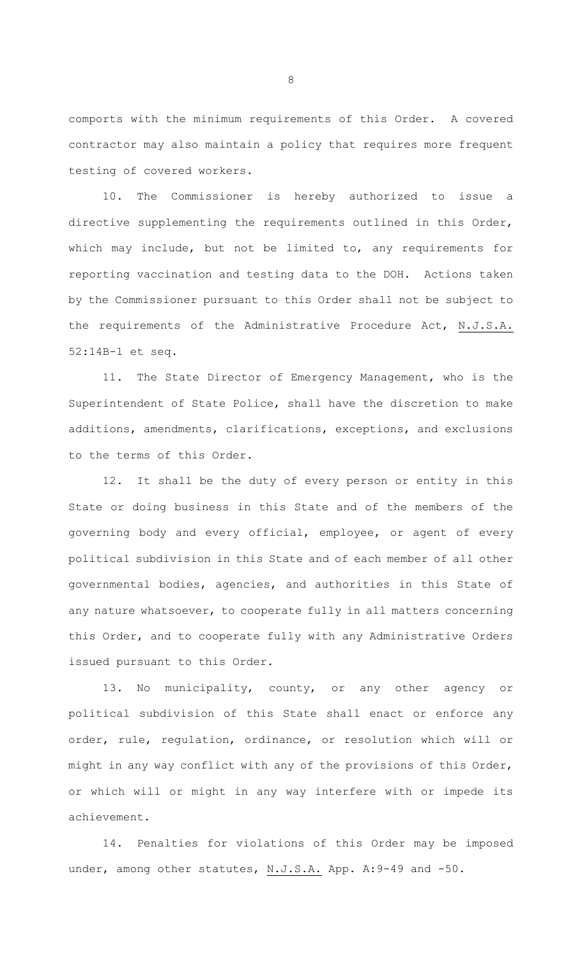comports with the minimum requirements of this Order. A covered contractor may also maintain a policy that requires more frequent testing of covered workers.

 10. The Commissioner is hereby authorized to issue a directive supplementing the requirements outlined in this Order, which may include, but not be limited to, any requirements for reporting vaccination and testing data to the DOH. Actions taken by the Commissioner pursuant to this Order shall not be subject to the requirements of the Administrative Procedure Act, N.J.S.A. 52:14B-1 et seq.

 11. The State Director of Emergency Management, who is the Superintendent of State Police, shall have the discretion to make additions, amendments, clarifications, exceptions, and exclusions to the terms of this Order.

 12. It shall be the duty of every person or entity in this State or doing business in this State and of the members of the governing body and every official, employee, or agent of every political subdivision in this State and of each member of all other governmental bodies, agencies, and authorities in this State of any nature whatsoever, to cooperate fully in all matters concerning this Order, and to cooperate fully with any Administrative Orders issued pursuant to this Order.

 13. No municipality, county, or any other agency or political subdivision of this State shall enact or enforce any order, rule, regulation, ordinance, or resolution which will or might in any way conflict with any of the provisions of this Order, or which will or might in any way interfere with or impede its achievement.

 14. Penalties for violations of this Order may be imposed under, among other statutes, N.J.S.A. App. A: 9-49 and -50.